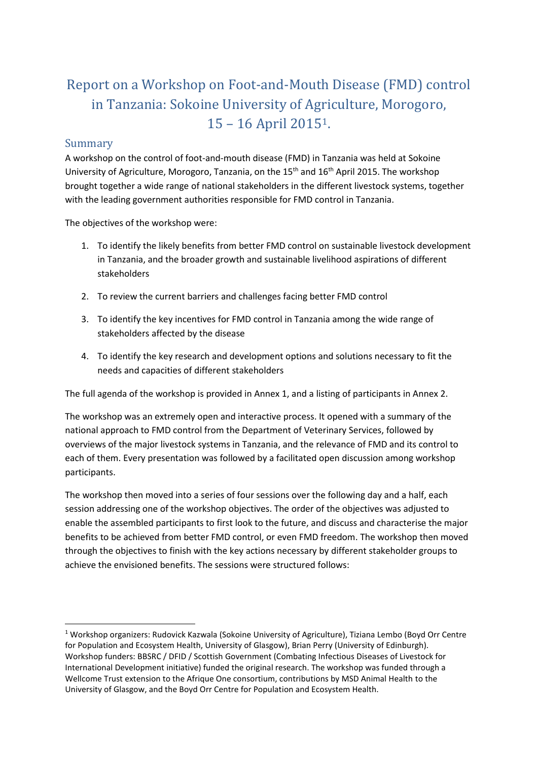# Report on a Workshop on Foot-and-Mouth Disease (FMD) control in Tanzania: Sokoine University of Agriculture, Morogoro, 15 – 16 April 20151.

### Summary

**.** 

A workshop on the control of foot-and-mouth disease (FMD) in Tanzania was held at Sokoine University of Agriculture, Morogoro, Tanzania, on the  $15<sup>th</sup>$  and  $16<sup>th</sup>$  April 2015. The workshop brought together a wide range of national stakeholders in the different livestock systems, together with the leading government authorities responsible for FMD control in Tanzania.

The objectives of the workshop were:

- 1. To identify the likely benefits from better FMD control on sustainable livestock development in Tanzania, and the broader growth and sustainable livelihood aspirations of different stakeholders
- 2. To review the current barriers and challenges facing better FMD control
- 3. To identify the key incentives for FMD control in Tanzania among the wide range of stakeholders affected by the disease
- 4. To identify the key research and development options and solutions necessary to fit the needs and capacities of different stakeholders

The full agenda of the workshop is provided in Annex 1, and a listing of participants in Annex 2.

The workshop was an extremely open and interactive process. It opened with a summary of the national approach to FMD control from the Department of Veterinary Services, followed by overviews of the major livestock systems in Tanzania, and the relevance of FMD and its control to each of them. Every presentation was followed by a facilitated open discussion among workshop participants.

The workshop then moved into a series of four sessions over the following day and a half, each session addressing one of the workshop objectives. The order of the objectives was adjusted to enable the assembled participants to first look to the future, and discuss and characterise the major benefits to be achieved from better FMD control, or even FMD freedom. The workshop then moved through the objectives to finish with the key actions necessary by different stakeholder groups to achieve the envisioned benefits. The sessions were structured follows:

<sup>1</sup> Workshop organizers: Rudovick Kazwala (Sokoine University of Agriculture), Tiziana Lembo (Boyd Orr Centre for Population and Ecosystem Health, University of Glasgow), Brian Perry (University of Edinburgh). Workshop funders: BBSRC / DFID / Scottish Government (Combating Infectious Diseases of Livestock for International Development initiative) funded the original research. The workshop was funded through a Wellcome Trust extension to the Afrique One consortium, contributions by MSD Animal Health to the University of Glasgow, and the Boyd Orr Centre for Population and Ecosystem Health.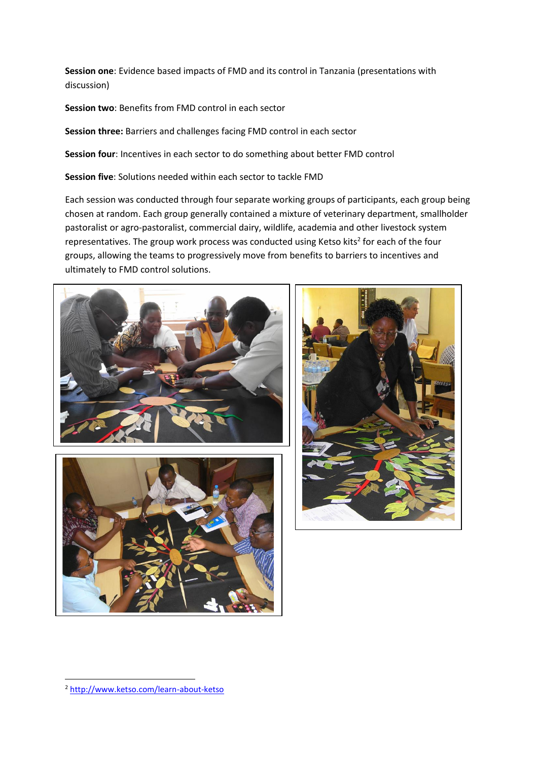**Session one**: Evidence based impacts of FMD and its control in Tanzania (presentations with discussion)

**Session two**: Benefits from FMD control in each sector

**Session three:** Barriers and challenges facing FMD control in each sector

**Session four**: Incentives in each sector to do something about better FMD control

**Session five**: Solutions needed within each sector to tackle FMD

Each session was conducted through four separate working groups of participants, each group being chosen at random. Each group generally contained a mixture of veterinary department, smallholder pastoralist or agro-pastoralist, commercial dairy, wildlife, academia and other livestock system representatives. The group work process was conducted using Ketso kits<sup>2</sup> for each of the four groups, allowing the teams to progressively move from benefits to barriers to incentives and ultimately to FMD control solutions.







**.** 

<sup>2</sup> <http://www.ketso.com/learn-about-ketso>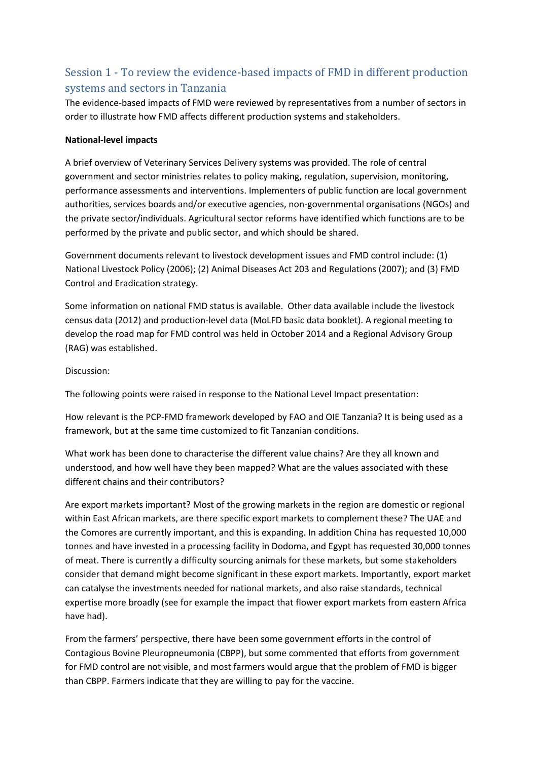### Session 1 - To review the evidence-based impacts of FMD in different production systems and sectors in Tanzania

The evidence-based impacts of FMD were reviewed by representatives from a number of sectors in order to illustrate how FMD affects different production systems and stakeholders.

#### **National-level impacts**

A brief overview of Veterinary Services Delivery systems was provided. The role of central government and sector ministries relates to policy making, regulation, supervision, monitoring, performance assessments and interventions. Implementers of public function are local government authorities, services boards and/or executive agencies, non-governmental organisations (NGOs) and the private sector/individuals. Agricultural sector reforms have identified which functions are to be performed by the private and public sector, and which should be shared.

Government documents relevant to livestock development issues and FMD control include: (1) National Livestock Policy (2006); (2) Animal Diseases Act 203 and Regulations (2007); and (3) FMD Control and Eradication strategy.

Some information on national FMD status is available. Other data available include the livestock census data (2012) and production-level data (MoLFD basic data booklet). A regional meeting to develop the road map for FMD control was held in October 2014 and a Regional Advisory Group (RAG) was established.

#### Discussion:

The following points were raised in response to the National Level Impact presentation:

How relevant is the PCP-FMD framework developed by FAO and OIE Tanzania? It is being used as a framework, but at the same time customized to fit Tanzanian conditions.

What work has been done to characterise the different value chains? Are they all known and understood, and how well have they been mapped? What are the values associated with these different chains and their contributors?

Are export markets important? Most of the growing markets in the region are domestic or regional within East African markets, are there specific export markets to complement these? The UAE and the Comores are currently important, and this is expanding. In addition China has requested 10,000 tonnes and have invested in a processing facility in Dodoma, and Egypt has requested 30,000 tonnes of meat. There is currently a difficulty sourcing animals for these markets, but some stakeholders consider that demand might become significant in these export markets. Importantly, export market can catalyse the investments needed for national markets, and also raise standards, technical expertise more broadly (see for example the impact that flower export markets from eastern Africa have had).

From the farmers' perspective, there have been some government efforts in the control of Contagious Bovine Pleuropneumonia (CBPP), but some commented that efforts from government for FMD control are not visible, and most farmers would argue that the problem of FMD is bigger than CBPP. Farmers indicate that they are willing to pay for the vaccine.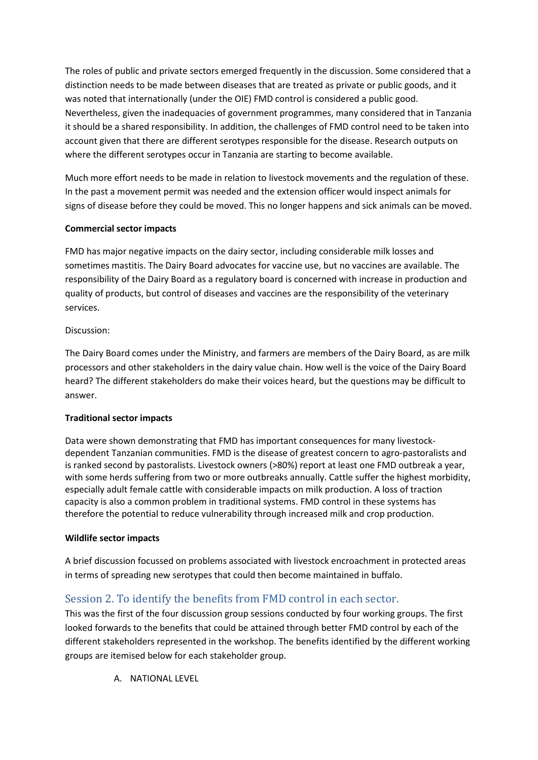The roles of public and private sectors emerged frequently in the discussion. Some considered that a distinction needs to be made between diseases that are treated as private or public goods, and it was noted that internationally (under the OIE) FMD control is considered a public good. Nevertheless, given the inadequacies of government programmes, many considered that in Tanzania it should be a shared responsibility. In addition, the challenges of FMD control need to be taken into account given that there are different serotypes responsible for the disease. Research outputs on where the different serotypes occur in Tanzania are starting to become available.

Much more effort needs to be made in relation to livestock movements and the regulation of these. In the past a movement permit was needed and the extension officer would inspect animals for signs of disease before they could be moved. This no longer happens and sick animals can be moved.

#### **Commercial sector impacts**

FMD has major negative impacts on the dairy sector, including considerable milk losses and sometimes mastitis. The Dairy Board advocates for vaccine use, but no vaccines are available. The responsibility of the Dairy Board as a regulatory board is concerned with increase in production and quality of products, but control of diseases and vaccines are the responsibility of the veterinary services.

#### Discussion:

The Dairy Board comes under the Ministry, and farmers are members of the Dairy Board, as are milk processors and other stakeholders in the dairy value chain. How well is the voice of the Dairy Board heard? The different stakeholders do make their voices heard, but the questions may be difficult to answer.

#### **Traditional sector impacts**

Data were shown demonstrating that FMD has important consequences for many livestockdependent Tanzanian communities. FMD is the disease of greatest concern to agro-pastoralists and is ranked second by pastoralists. Livestock owners (>80%) report at least one FMD outbreak a year, with some herds suffering from two or more outbreaks annually. Cattle suffer the highest morbidity, especially adult female cattle with considerable impacts on milk production. A loss of traction capacity is also a common problem in traditional systems. FMD control in these systems has therefore the potential to reduce vulnerability through increased milk and crop production.

#### **Wildlife sector impacts**

A brief discussion focussed on problems associated with livestock encroachment in protected areas in terms of spreading new serotypes that could then become maintained in buffalo.

### Session 2. To identify the benefits from FMD control in each sector.

This was the first of the four discussion group sessions conducted by four working groups. The first looked forwards to the benefits that could be attained through better FMD control by each of the different stakeholders represented in the workshop. The benefits identified by the different working groups are itemised below for each stakeholder group.

A. NATIONAL LEVEL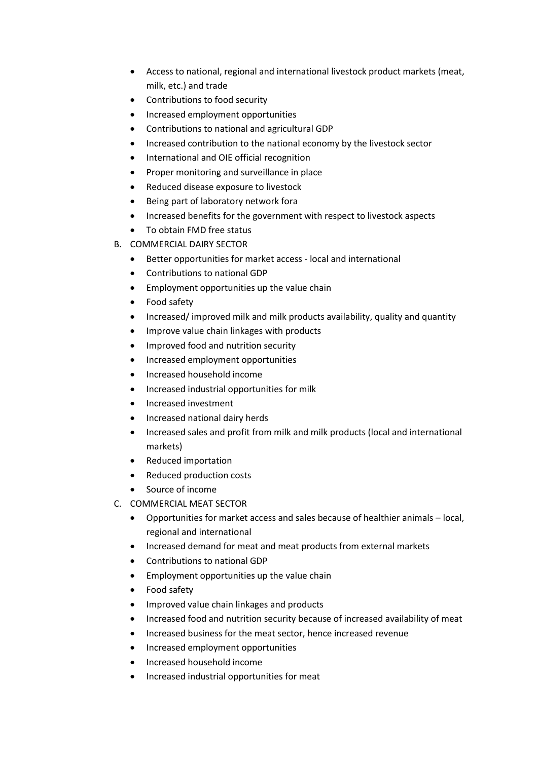- Access to national, regional and international livestock product markets (meat, milk, etc.) and trade
- Contributions to food security
- Increased employment opportunities
- Contributions to national and agricultural GDP
- Increased contribution to the national economy by the livestock sector
- International and OIE official recognition
- Proper monitoring and surveillance in place
- Reduced disease exposure to livestock
- Being part of laboratory network fora
- Increased benefits for the government with respect to livestock aspects
- To obtain FMD free status
- B. COMMERCIAL DAIRY SECTOR
	- Better opportunities for market access local and international
	- Contributions to national GDP
	- Employment opportunities up the value chain
	- Food safety
	- Increased/improved milk and milk products availability, quality and quantity
	- Improve value chain linkages with products
	- Improved food and nutrition security
	- Increased employment opportunities
	- Increased household income
	- Increased industrial opportunities for milk
	- Increased investment
	- Increased national dairy herds
	- Increased sales and profit from milk and milk products (local and international markets)
	- Reduced importation
	- Reduced production costs
	- Source of income
- C. COMMERCIAL MEAT SECTOR
	- Opportunities for market access and sales because of healthier animals local, regional and international
	- Increased demand for meat and meat products from external markets
	- Contributions to national GDP
	- **•** Employment opportunities up the value chain
	- Food safety
	- Improved value chain linkages and products
	- Increased food and nutrition security because of increased availability of meat
	- Increased business for the meat sector, hence increased revenue
	- Increased employment opportunities
	- Increased household income
	- Increased industrial opportunities for meat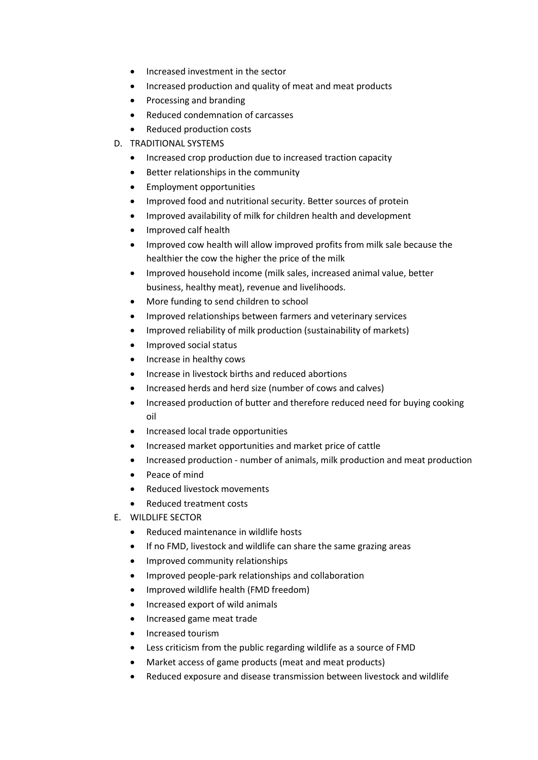- Increased investment in the sector
- Increased production and quality of meat and meat products
- Processing and branding
- Reduced condemnation of carcasses
- Reduced production costs
- D. TRADITIONAL SYSTEMS
	- Increased crop production due to increased traction capacity
	- Better relationships in the community
	- **•** Employment opportunities
	- Improved food and nutritional security. Better sources of protein
	- Improved availability of milk for children health and development
	- Improved calf health
	- Improved cow health will allow improved profits from milk sale because the healthier the cow the higher the price of the milk
	- Improved household income (milk sales, increased animal value, better business, healthy meat), revenue and livelihoods.
	- More funding to send children to school
	- Improved relationships between farmers and veterinary services
	- Improved reliability of milk production (sustainability of markets)
	- Improved social status
	- Increase in healthy cows
	- Increase in livestock births and reduced abortions
	- Increased herds and herd size (number of cows and calves)
	- Increased production of butter and therefore reduced need for buying cooking oil
	- Increased local trade opportunities
	- Increased market opportunities and market price of cattle
	- Increased production number of animals, milk production and meat production
	- Peace of mind
	- Reduced livestock movements
	- Reduced treatment costs
- E. WILDLIFE SECTOR
	- Reduced maintenance in wildlife hosts
	- If no FMD, livestock and wildlife can share the same grazing areas
	- Improved community relationships
	- Improved people-park relationships and collaboration
	- Improved wildlife health (FMD freedom)
	- Increased export of wild animals
	- Increased game meat trade
	- Increased tourism
	- Less criticism from the public regarding wildlife as a source of FMD
	- Market access of game products (meat and meat products)
	- Reduced exposure and disease transmission between livestock and wildlife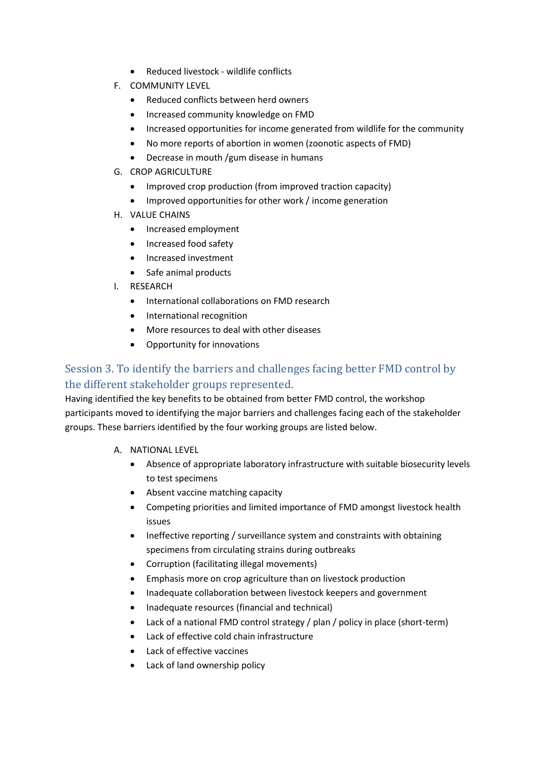- Reduced livestock wildlife conflicts
- F. COMMUNITY LEVEL
	- Reduced conflicts between herd owners
	- Increased community knowledge on FMD
	- Increased opportunities for income generated from wildlife for the community
	- No more reports of abortion in women (zoonotic aspects of FMD)
	- Decrease in mouth /gum disease in humans
- G. CROP AGRICULTURE
	- Improved crop production (from improved traction capacity)
	- Improved opportunities for other work / income generation
- H. VALUE CHAINS
	- Increased employment
	- Increased food safety
	- Increased investment
	- Safe animal products
- I. RESEARCH
	- International collaborations on FMD research
	- International recognition
	- More resources to deal with other diseases
	- Opportunity for innovations

## Session 3. To identify the barriers and challenges facing better FMD control by the different stakeholder groups represented.

Having identified the key benefits to be obtained from better FMD control, the workshop participants moved to identifying the major barriers and challenges facing each of the stakeholder groups. These barriers identified by the four working groups are listed below.

- A. NATIONAL LEVEL
	- Absence of appropriate laboratory infrastructure with suitable biosecurity levels to test specimens
	- Absent vaccine matching capacity
	- Competing priorities and limited importance of FMD amongst livestock health issues
	- Ineffective reporting / surveillance system and constraints with obtaining specimens from circulating strains during outbreaks
	- Corruption (facilitating illegal movements)
	- Emphasis more on crop agriculture than on livestock production
	- Inadequate collaboration between livestock keepers and government
	- Inadequate resources (financial and technical)
	- Lack of a national FMD control strategy / plan / policy in place (short-term)
	- Lack of effective cold chain infrastructure
	- Lack of effective vaccines
	- Lack of land ownership policy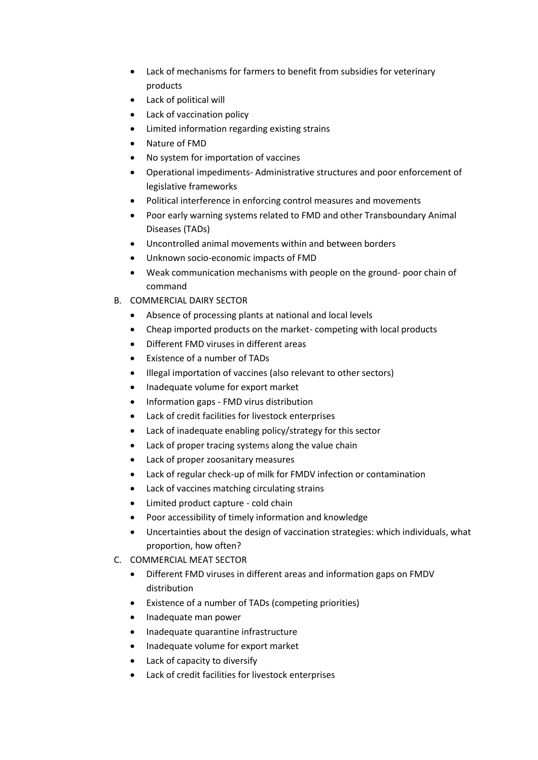- Lack of mechanisms for farmers to benefit from subsidies for veterinary products
- Lack of political will
- Lack of vaccination policy
- Limited information regarding existing strains
- Nature of FMD
- No system for importation of vaccines
- Operational impediments- Administrative structures and poor enforcement of legislative frameworks
- Political interference in enforcing control measures and movements
- Poor early warning systems related to FMD and other Transboundary Animal Diseases (TADs)
- Uncontrolled animal movements within and between borders
- Unknown socio-economic impacts of FMD
- Weak communication mechanisms with people on the ground- poor chain of command
- B. COMMERCIAL DAIRY SECTOR
	- Absence of processing plants at national and local levels
	- Cheap imported products on the market- competing with local products
	- Different FMD viruses in different areas
	- Existence of a number of TADs
	- Illegal importation of vaccines (also relevant to other sectors)
	- Inadequate volume for export market
	- Information gaps FMD virus distribution
	- Lack of credit facilities for livestock enterprises
	- Lack of inadequate enabling policy/strategy for this sector
	- Lack of proper tracing systems along the value chain
	- Lack of proper zoosanitary measures
	- Lack of regular check-up of milk for FMDV infection or contamination
	- Lack of vaccines matching circulating strains
	- Limited product capture cold chain
	- Poor accessibility of timely information and knowledge
	- Uncertainties about the design of vaccination strategies: which individuals, what proportion, how often?
- C. COMMERCIAL MEAT SECTOR
	- Different FMD viruses in different areas and information gaps on FMDV distribution
	- Existence of a number of TADs (competing priorities)
	- Inadequate man power
	- Inadequate quarantine infrastructure
	- Inadequate volume for export market
	- Lack of capacity to diversify
	- Lack of credit facilities for livestock enterprises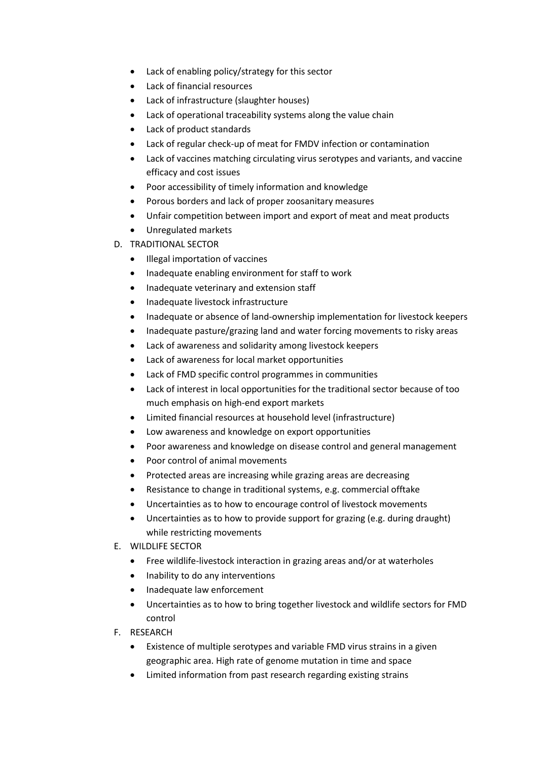- Lack of enabling policy/strategy for this sector
- Lack of financial resources
- Lack of infrastructure (slaughter houses)
- Lack of operational traceability systems along the value chain
- Lack of product standards
- Lack of regular check-up of meat for FMDV infection or contamination
- Lack of vaccines matching circulating virus serotypes and variants, and vaccine efficacy and cost issues
- Poor accessibility of timely information and knowledge
- Porous borders and lack of proper zoosanitary measures
- Unfair competition between import and export of meat and meat products
- Unregulated markets
- D. TRADITIONAL SECTOR
	- Illegal importation of vaccines
	- Inadequate enabling environment for staff to work
	- Inadequate veterinary and extension staff
	- Inadequate livestock infrastructure
	- Inadequate or absence of land-ownership implementation for livestock keepers
	- Inadequate pasture/grazing land and water forcing movements to risky areas
	- Lack of awareness and solidarity among livestock keepers
	- Lack of awareness for local market opportunities
	- Lack of FMD specific control programmes in communities
	- Lack of interest in local opportunities for the traditional sector because of too much emphasis on high-end export markets
	- Limited financial resources at household level (infrastructure)
	- Low awareness and knowledge on export opportunities
	- Poor awareness and knowledge on disease control and general management
	- Poor control of animal movements
	- Protected areas are increasing while grazing areas are decreasing
	- Resistance to change in traditional systems, e.g. commercial offtake
	- Uncertainties as to how to encourage control of livestock movements
	- Uncertainties as to how to provide support for grazing (e.g. during draught) while restricting movements
- E. WILDLIFE SECTOR
	- Free wildlife-livestock interaction in grazing areas and/or at waterholes
	- Inability to do any interventions
	- Inadequate law enforcement
	- Uncertainties as to how to bring together livestock and wildlife sectors for FMD control
- F. RESEARCH
	- Existence of multiple serotypes and variable FMD virus strains in a given geographic area. High rate of genome mutation in time and space
	- Limited information from past research regarding existing strains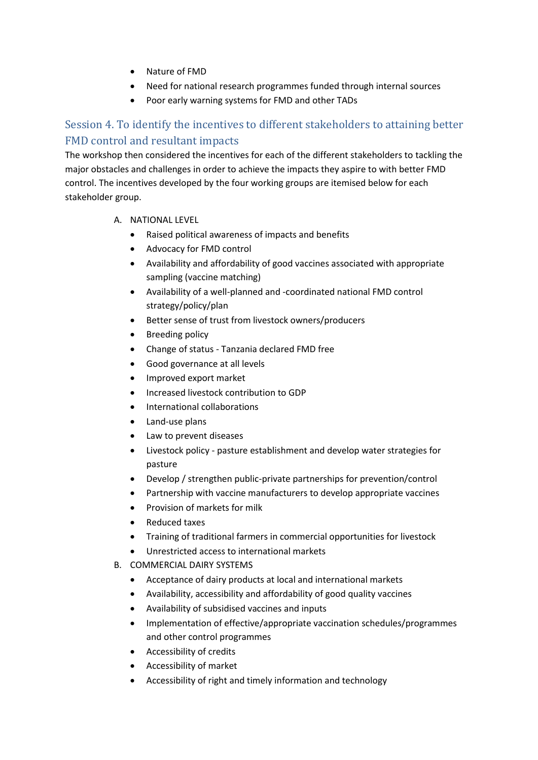- Nature of FMD
- Need for national research programmes funded through internal sources
- Poor early warning systems for FMD and other TADs

### Session 4. To identify the incentives to different stakeholders to attaining better FMD control and resultant impacts

The workshop then considered the incentives for each of the different stakeholders to tackling the major obstacles and challenges in order to achieve the impacts they aspire to with better FMD control. The incentives developed by the four working groups are itemised below for each stakeholder group.

- A. NATIONAL LEVEL
	- Raised political awareness of impacts and benefits
	- Advocacy for FMD control
	- Availability and affordability of good vaccines associated with appropriate sampling (vaccine matching)
	- Availability of a well-planned and -coordinated national FMD control strategy/policy/plan
	- Better sense of trust from livestock owners/producers
	- Breeding policy
	- Change of status Tanzania declared FMD free
	- Good governance at all levels
	- Improved export market
	- Increased livestock contribution to GDP
	- International collaborations
	- Land-use plans
	- Law to prevent diseases
	- Livestock policy pasture establishment and develop water strategies for pasture
	- Develop / strengthen public-private partnerships for prevention/control
	- Partnership with vaccine manufacturers to develop appropriate vaccines
	- Provision of markets for milk
	- Reduced taxes
	- Training of traditional farmers in commercial opportunities for livestock
	- Unrestricted access to international markets
- B. COMMERCIAL DAIRY SYSTEMS
	- Acceptance of dairy products at local and international markets
	- Availability, accessibility and affordability of good quality vaccines
	- Availability of subsidised vaccines and inputs
	- Implementation of effective/appropriate vaccination schedules/programmes and other control programmes
	- Accessibility of credits
	- Accessibility of market
	- Accessibility of right and timely information and technology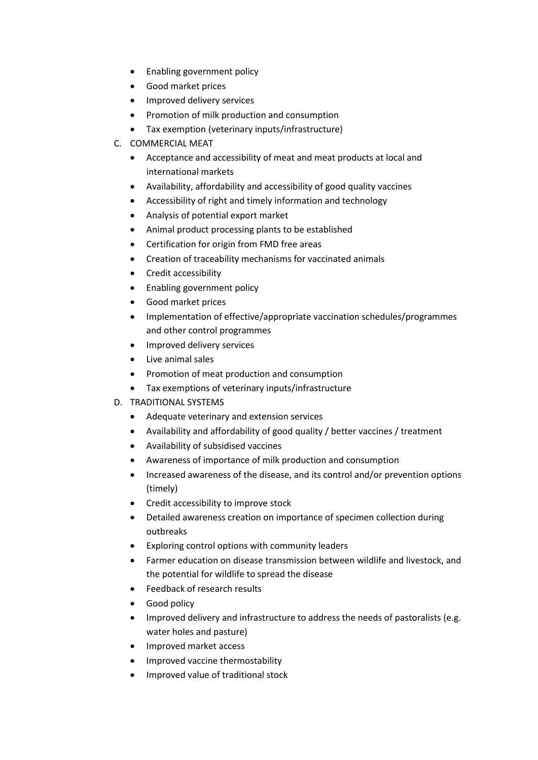- Enabling government policy
- Good market prices
- Improved delivery services
- Promotion of milk production and consumption
- Tax exemption (veterinary inputs/infrastructure)
- C. COMMERCIAL MEAT
	- Acceptance and accessibility of meat and meat products at local and international markets
	- Availability, affordability and accessibility of good quality vaccines
	- Accessibility of right and timely information and technology
	- Analysis of potential export market
	- Animal product processing plants to be established
	- Certification for origin from FMD free areas
	- Creation of traceability mechanisms for vaccinated animals
	- Credit accessibility
	- Enabling government policy
	- Good market prices
	- Implementation of effective/appropriate vaccination schedules/programmes and other control programmes
	- Improved delivery services
	- Live animal sales
	- Promotion of meat production and consumption
	- Tax exemptions of veterinary inputs/infrastructure
- D. TRADITIONAL SYSTEMS
	- Adequate veterinary and extension services
	- Availability and affordability of good quality / better vaccines / treatment
	- Availability of subsidised vaccines
	- Awareness of importance of milk production and consumption
	- Increased awareness of the disease, and its control and/or prevention options (timely)
	- Credit accessibility to improve stock
	- Detailed awareness creation on importance of specimen collection during outbreaks
	- Exploring control options with community leaders
	- Farmer education on disease transmission between wildlife and livestock, and the potential for wildlife to spread the disease
	- Feedback of research results
	- Good policy
	- Improved delivery and infrastructure to address the needs of pastoralists (e.g. water holes and pasture)
	- Improved market access
	- Improved vaccine thermostability
	- Improved value of traditional stock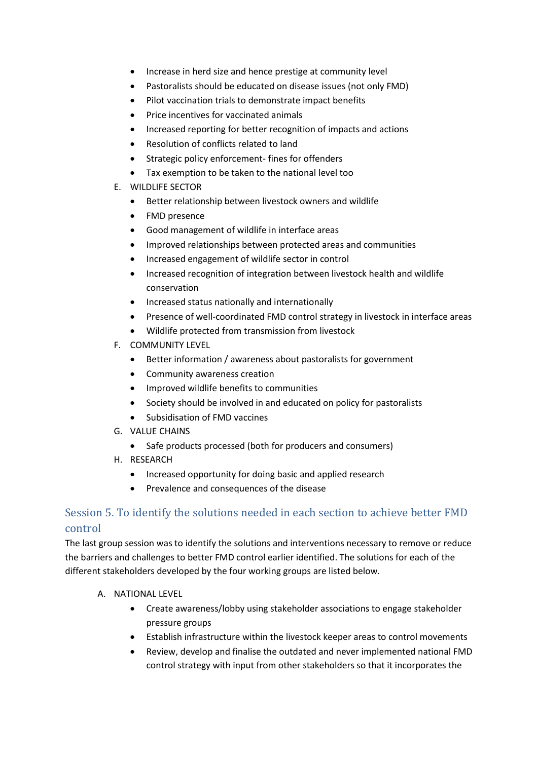- Increase in herd size and hence prestige at community level
- Pastoralists should be educated on disease issues (not only FMD)
- Pilot vaccination trials to demonstrate impact benefits
- Price incentives for vaccinated animals
- Increased reporting for better recognition of impacts and actions
- Resolution of conflicts related to land
- Strategic policy enforcement- fines for offenders
- Tax exemption to be taken to the national level too
- E. WILDLIFE SECTOR
	- Better relationship between livestock owners and wildlife
	- FMD presence
	- Good management of wildlife in interface areas
	- Improved relationships between protected areas and communities
	- Increased engagement of wildlife sector in control
	- Increased recognition of integration between livestock health and wildlife conservation
	- Increased status nationally and internationally
	- Presence of well-coordinated FMD control strategy in livestock in interface areas
	- Wildlife protected from transmission from livestock
- F. COMMUNITY LEVEL
	- Better information / awareness about pastoralists for government
	- Community awareness creation
	- Improved wildlife benefits to communities
	- Society should be involved in and educated on policy for pastoralists
	- Subsidisation of FMD vaccines
- G. VALUE CHAINS
	- Safe products processed (both for producers and consumers)
- H. RESEARCH
	- Increased opportunity for doing basic and applied research
	- Prevalence and consequences of the disease

### Session 5. To identify the solutions needed in each section to achieve better FMD control

The last group session was to identify the solutions and interventions necessary to remove or reduce the barriers and challenges to better FMD control earlier identified. The solutions for each of the different stakeholders developed by the four working groups are listed below.

- A. NATIONAL LEVEL
	- Create awareness/lobby using stakeholder associations to engage stakeholder pressure groups
	- Establish infrastructure within the livestock keeper areas to control movements
	- Review, develop and finalise the outdated and never implemented national FMD control strategy with input from other stakeholders so that it incorporates the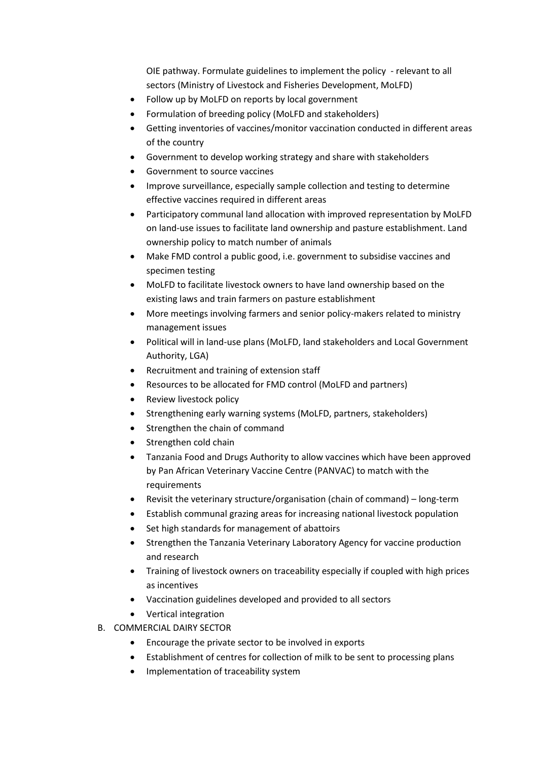OIE pathway. Formulate guidelines to implement the policy - relevant to all sectors (Ministry of Livestock and Fisheries Development, MoLFD)

- Follow up by MoLFD on reports by local government
- Formulation of breeding policy (MoLFD and stakeholders)
- Getting inventories of vaccines/monitor vaccination conducted in different areas of the country
- Government to develop working strategy and share with stakeholders
- Government to source vaccines
- Improve surveillance, especially sample collection and testing to determine effective vaccines required in different areas
- Participatory communal land allocation with improved representation by MoLFD on land-use issues to facilitate land ownership and pasture establishment. Land ownership policy to match number of animals
- Make FMD control a public good, i.e. government to subsidise vaccines and specimen testing
- MoLFD to facilitate livestock owners to have land ownership based on the existing laws and train farmers on pasture establishment
- More meetings involving farmers and senior policy-makers related to ministry management issues
- Political will in land-use plans (MoLFD, land stakeholders and Local Government Authority, LGA)
- Recruitment and training of extension staff
- Resources to be allocated for FMD control (MoLFD and partners)
- Review livestock policy
- Strengthening early warning systems (MoLFD, partners, stakeholders)
- Strengthen the chain of command
- Strengthen cold chain
- Tanzania Food and Drugs Authority to allow vaccines which have been approved by Pan African Veterinary Vaccine Centre (PANVAC) to match with the requirements
- Revisit the veterinary structure/organisation (chain of command) long-term
- Establish communal grazing areas for increasing national livestock population
- Set high standards for management of abattoirs
- Strengthen the Tanzania Veterinary Laboratory Agency for vaccine production and research
- Training of livestock owners on traceability especially if coupled with high prices as incentives
- Vaccination guidelines developed and provided to all sectors
- Vertical integration
- B. COMMERCIAL DAIRY SECTOR
	- Encourage the private sector to be involved in exports
	- Establishment of centres for collection of milk to be sent to processing plans
	- Implementation of traceability system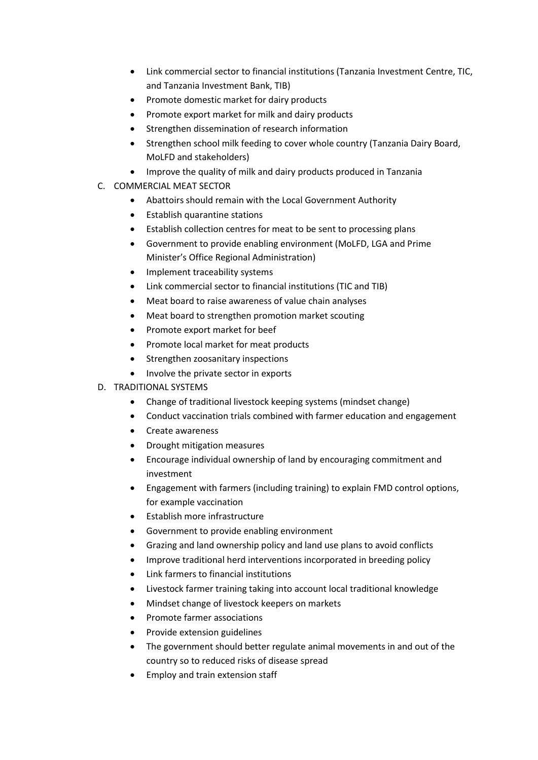- Link commercial sector to financial institutions (Tanzania Investment Centre, TIC, and Tanzania Investment Bank, TIB)
- Promote domestic market for dairy products
- Promote export market for milk and dairy products
- Strengthen dissemination of research information
- Strengthen school milk feeding to cover whole country (Tanzania Dairy Board, MoLFD and stakeholders)
- Improve the quality of milk and dairy products produced in Tanzania
- C. COMMERCIAL MEAT SECTOR
	- Abattoirs should remain with the Local Government Authority
	- Establish quarantine stations
	- Establish collection centres for meat to be sent to processing plans
	- Government to provide enabling environment (MoLFD, LGA and Prime Minister's Office Regional Administration)
	- Implement traceability systems
	- Link commercial sector to financial institutions (TIC and TIB)
	- Meat board to raise awareness of value chain analyses
	- Meat board to strengthen promotion market scouting
	- Promote export market for beef
	- Promote local market for meat products
	- Strengthen zoosanitary inspections
	- Involve the private sector in exports
- D. TRADITIONAL SYSTEMS
	- Change of traditional livestock keeping systems (mindset change)
	- Conduct vaccination trials combined with farmer education and engagement
	- Create awareness
	- Drought mitigation measures
	- Encourage individual ownership of land by encouraging commitment and investment
	- Engagement with farmers (including training) to explain FMD control options, for example vaccination
	- Establish more infrastructure
	- Government to provide enabling environment
	- Grazing and land ownership policy and land use plans to avoid conflicts
	- Improve traditional herd interventions incorporated in breeding policy
	- Link farmers to financial institutions
	- Livestock farmer training taking into account local traditional knowledge
	- Mindset change of livestock keepers on markets
	- Promote farmer associations
	- Provide extension guidelines
	- The government should better regulate animal movements in and out of the country so to reduced risks of disease spread
	- Employ and train extension staff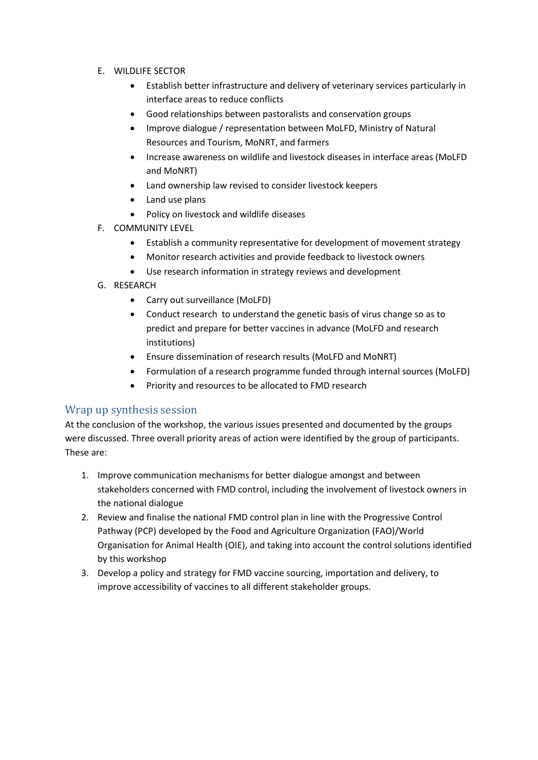- E. WILDLIFE SECTOR
	- Establish better infrastructure and delivery of veterinary services particularly in interface areas to reduce conflicts
	- Good relationships between pastoralists and conservation groups
	- Improve dialogue / representation between MoLFD, Ministry of Natural Resources and Tourism, MoNRT, and farmers
	- Increase awareness on wildlife and livestock diseases in interface areas (MoLFD and MoNRT)
	- Land ownership law revised to consider livestock keepers
	- Land use plans
	- Policy on livestock and wildlife diseases
- F. COMMUNITY LEVEL
	- Establish a community representative for development of movement strategy
	- Monitor research activities and provide feedback to livestock owners
	- Use research information in strategy reviews and development
- G. RESEARCH
	- Carry out surveillance (MoLFD)
	- Conduct research to understand the genetic basis of virus change so as to predict and prepare for better vaccines in advance (MoLFD and research institutions)
	- Ensure dissemination of research results (MoLFD and MoNRT)
	- Formulation of a research programme funded through internal sources (MoLFD)
	- Priority and resources to be allocated to FMD research

#### Wrap up synthesis session

At the conclusion of the workshop, the various issues presented and documented by the groups were discussed. Three overall priority areas of action were identified by the group of participants. These are:

- 1. Improve communication mechanisms for better dialogue amongst and between stakeholders concerned with FMD control, including the involvement of livestock owners in the national dialogue
- 2. Review and finalise the national FMD control plan in line with the Progressive Control Pathway (PCP) developed by the Food and Agriculture Organization (FAO)/World Organisation for Animal Health (OIE), and taking into account the control solutions identified by this workshop
- 3. Develop a policy and strategy for FMD vaccine sourcing, importation and delivery, to improve accessibility of vaccines to all different stakeholder groups.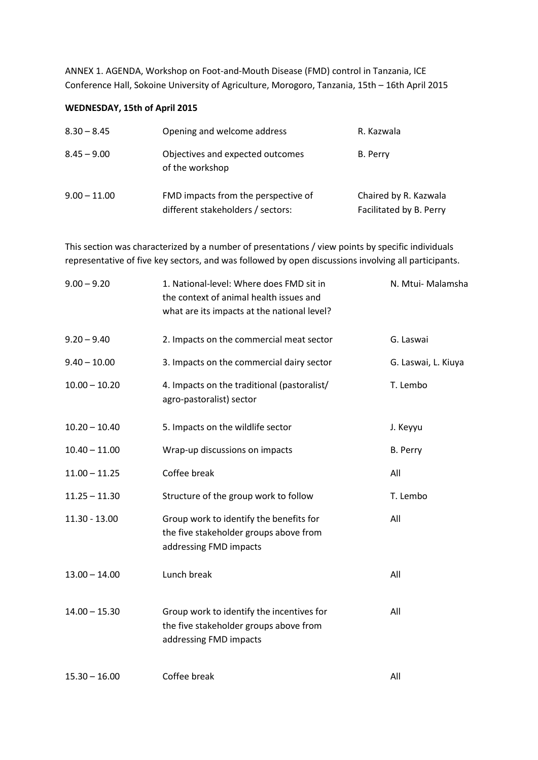ANNEX 1. AGENDA, Workshop on Foot-and-Mouth Disease (FMD) control in Tanzania, ICE Conference Hall, Sokoine University of Agriculture, Morogoro, Tanzania, 15th – 16th April 2015

#### **WEDNESDAY, 15th of April 2015**

| $8.30 - 8.45$  | Opening and welcome address                                              | R. Kazwala                                       |
|----------------|--------------------------------------------------------------------------|--------------------------------------------------|
| $8.45 - 9.00$  | Objectives and expected outcomes<br>of the workshop                      | B. Perry                                         |
| $9.00 - 11.00$ | FMD impacts from the perspective of<br>different stakeholders / sectors: | Chaired by R. Kazwala<br>Facilitated by B. Perry |

This section was characterized by a number of presentations / view points by specific individuals representative of five key sectors, and was followed by open discussions involving all participants.

| $9.00 - 9.20$   | 1. National-level: Where does FMD sit in<br>the context of animal health issues and<br>what are its impacts at the national level? | N. Mtui- Malamsha   |
|-----------------|------------------------------------------------------------------------------------------------------------------------------------|---------------------|
| $9.20 - 9.40$   | 2. Impacts on the commercial meat sector                                                                                           | G. Laswai           |
| $9.40 - 10.00$  | 3. Impacts on the commercial dairy sector                                                                                          | G. Laswai, L. Kiuya |
| $10.00 - 10.20$ | 4. Impacts on the traditional (pastoralist/<br>agro-pastoralist) sector                                                            | T. Lembo            |
| $10.20 - 10.40$ | 5. Impacts on the wildlife sector                                                                                                  | J. Keyyu            |
| $10.40 - 11.00$ | Wrap-up discussions on impacts                                                                                                     | B. Perry            |
| $11.00 - 11.25$ | Coffee break                                                                                                                       | All                 |
| $11.25 - 11.30$ | Structure of the group work to follow                                                                                              | T. Lembo            |
| $11.30 - 13.00$ | Group work to identify the benefits for<br>the five stakeholder groups above from<br>addressing FMD impacts                        | All                 |
| $13.00 - 14.00$ | Lunch break                                                                                                                        | All                 |
| $14.00 - 15.30$ | Group work to identify the incentives for<br>the five stakeholder groups above from<br>addressing FMD impacts                      | All                 |
| $15.30 - 16.00$ | Coffee break                                                                                                                       | All                 |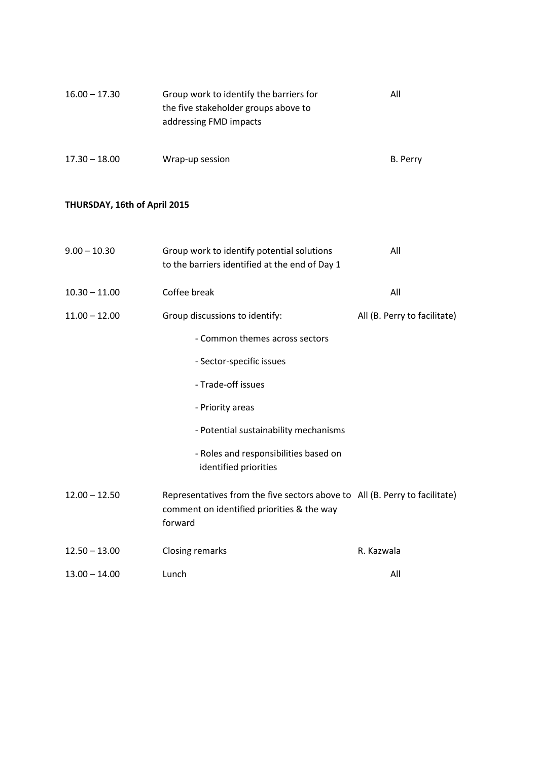| $16.00 - 17.30$              | Group work to identify the barriers for<br>the five stakeholder groups above to<br>addressing FMD impacts                            | All                          |
|------------------------------|--------------------------------------------------------------------------------------------------------------------------------------|------------------------------|
| $17.30 - 18.00$              | Wrap-up session                                                                                                                      | B. Perry                     |
| THURSDAY, 16th of April 2015 |                                                                                                                                      |                              |
| $9.00 - 10.30$               | Group work to identify potential solutions<br>to the barriers identified at the end of Day 1                                         | All                          |
| $10.30 - 11.00$              | Coffee break                                                                                                                         | All                          |
| $11.00 - 12.00$              | Group discussions to identify:                                                                                                       | All (B. Perry to facilitate) |
|                              | - Common themes across sectors                                                                                                       |                              |
|                              | - Sector-specific issues                                                                                                             |                              |
|                              | - Trade-off issues                                                                                                                   |                              |
|                              | - Priority areas                                                                                                                     |                              |
|                              | - Potential sustainability mechanisms                                                                                                |                              |
|                              | - Roles and responsibilities based on<br>identified priorities                                                                       |                              |
| $12.00 - 12.50$              | Representatives from the five sectors above to All (B. Perry to facilitate)<br>comment on identified priorities & the way<br>forward |                              |
| $12.50 - 13.00$              | Closing remarks                                                                                                                      | R. Kazwala                   |
| $13.00 - 14.00$              | Lunch                                                                                                                                | All                          |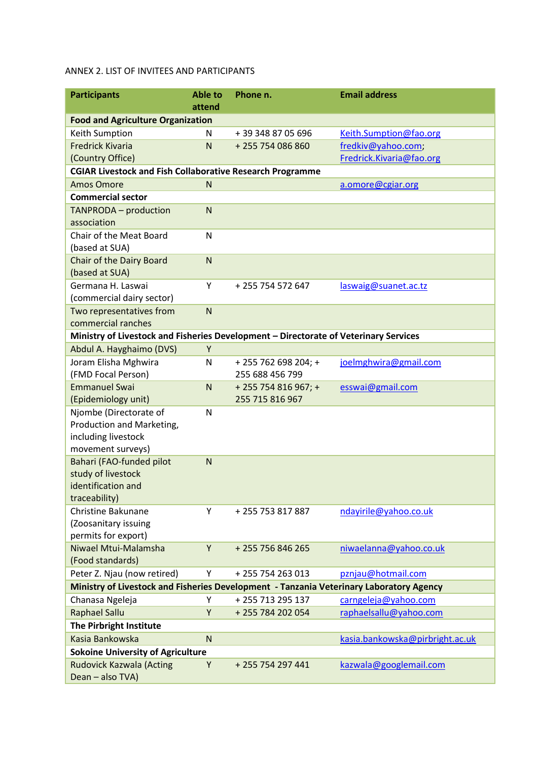#### ANNEX 2. LIST OF INVITEES AND PARTICIPANTS

| <b>Participants</b>                                                                     | <b>Able to</b><br>attend | Phone n.             | <b>Email address</b>            |  |  |  |
|-----------------------------------------------------------------------------------------|--------------------------|----------------------|---------------------------------|--|--|--|
| <b>Food and Agriculture Organization</b>                                                |                          |                      |                                 |  |  |  |
| Keith Sumption                                                                          | N                        | +39 348 87 05 696    | Keith.Sumption@fao.org          |  |  |  |
| <b>Fredrick Kivaria</b>                                                                 | N                        | +255 754 086 860     | fredkiv@yahoo.com;              |  |  |  |
| (Country Office)                                                                        |                          |                      | Fredrick.Kivaria@fao.org        |  |  |  |
| <b>CGIAR Livestock and Fish Collaborative Research Programme</b>                        |                          |                      |                                 |  |  |  |
| <b>Amos Omore</b>                                                                       | N                        |                      | a.omore@cgiar.org               |  |  |  |
| <b>Commercial sector</b>                                                                |                          |                      |                                 |  |  |  |
| <b>TANPRODA</b> - production                                                            | N                        |                      |                                 |  |  |  |
| association                                                                             |                          |                      |                                 |  |  |  |
| Chair of the Meat Board                                                                 | N                        |                      |                                 |  |  |  |
| (based at SUA)                                                                          |                          |                      |                                 |  |  |  |
| <b>Chair of the Dairy Board</b>                                                         | ${\sf N}$                |                      |                                 |  |  |  |
| (based at SUA)                                                                          |                          |                      |                                 |  |  |  |
| Germana H. Laswai                                                                       | Υ                        | +255 754 572 647     | laswaig@suanet.ac.tz            |  |  |  |
| (commercial dairy sector)                                                               |                          |                      |                                 |  |  |  |
| Two representatives from                                                                | N                        |                      |                                 |  |  |  |
| commercial ranches                                                                      |                          |                      |                                 |  |  |  |
| Ministry of Livestock and Fisheries Development - Directorate of Veterinary Services    |                          |                      |                                 |  |  |  |
| Abdul A. Hayghaimo (DVS)                                                                | Y                        |                      |                                 |  |  |  |
| Joram Elisha Mghwira                                                                    | N                        | + 255 762 698 204; + | joelmghwira@gmail.com           |  |  |  |
| (FMD Focal Person)                                                                      |                          | 255 688 456 799      |                                 |  |  |  |
| <b>Emmanuel Swai</b>                                                                    | N                        | + 255 754 816 967; + | esswai@gmail.com                |  |  |  |
| (Epidemiology unit)                                                                     |                          | 255 715 816 967      |                                 |  |  |  |
| Njombe (Directorate of<br>Production and Marketing,                                     | N                        |                      |                                 |  |  |  |
| including livestock                                                                     |                          |                      |                                 |  |  |  |
| movement surveys)                                                                       |                          |                      |                                 |  |  |  |
| Bahari (FAO-funded pilot                                                                | N                        |                      |                                 |  |  |  |
| study of livestock                                                                      |                          |                      |                                 |  |  |  |
| identification and                                                                      |                          |                      |                                 |  |  |  |
| traceability)                                                                           |                          |                      |                                 |  |  |  |
| Christine Bakunane                                                                      | Y                        | +255753817887        | ndayirile@yahoo.co.uk           |  |  |  |
| (Zoosanitary issuing                                                                    |                          |                      |                                 |  |  |  |
| permits for export)                                                                     |                          |                      |                                 |  |  |  |
| Niwael Mtui-Malamsha                                                                    | Y                        | + 255 756 846 265    | niwaelanna@yahoo.co.uk          |  |  |  |
| (Food standards)                                                                        |                          |                      |                                 |  |  |  |
| Peter Z. Njau (now retired)                                                             | Y                        | +255754263013        | pznjau@hotmail.com              |  |  |  |
| Ministry of Livestock and Fisheries Development - Tanzania Veterinary Laboratory Agency |                          |                      |                                 |  |  |  |
| Chanasa Ngeleja                                                                         | Υ                        | +255713295137        | carngeleja@yahoo.com            |  |  |  |
| <b>Raphael Sallu</b>                                                                    | Y                        | +255 784 202 054     | raphaelsallu@yahoo.com          |  |  |  |
| The Pirbright Institute                                                                 |                          |                      |                                 |  |  |  |
| Kasia Bankowska                                                                         | N                        |                      | kasia.bankowska@pirbright.ac.uk |  |  |  |
| <b>Sokoine University of Agriculture</b>                                                |                          |                      |                                 |  |  |  |
| <b>Rudovick Kazwala (Acting</b>                                                         | Υ                        | +255754297441        | kazwala@googlemail.com          |  |  |  |
| Dean - also TVA)                                                                        |                          |                      |                                 |  |  |  |